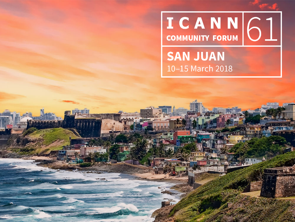# ICANN 61

**SAN JUAN** 10-15 March 2018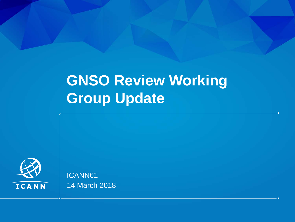# **GNSO Review Working Group Update**



ICANN61 14 March 2018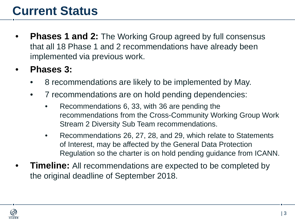## **Current Status**

- **Phases 1 and 2:** The Working Group agreed by full consensus that all 18 Phase 1 and 2 recommendations have already been implemented via previous work.
- **Phases 3:** 
	- 8 recommendations are likely to be implemented by May.
	- 7 recommendations are on hold pending dependencies:
		- Recommendations 6, 33, with 36 are pending the recommendations from the Cross-Community Working Group Work Stream 2 Diversity Sub Team recommendations.
		- Recommendations 26, 27, 28, and 29, which relate to Statements of Interest, may be affected by the General Data Protection Regulation so the charter is on hold pending guidance from ICANN.
- **Timeline:** All recommendations are expected to be completed by the original deadline of September 2018.

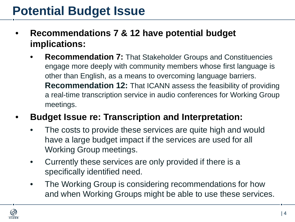## **Potential Budget Issue**

- **Recommendations 7 & 12 have potential budget implications:** 
	- **Recommendation 7:** That Stakeholder Groups and Constituencies engage more deeply with community members whose first language is other than English, as a means to overcoming language barriers. **Recommendation 12:** That ICANN assess the feasibility of providing a real-time transcription service in audio conferences for Working Group meetings.
- **Budget Issue re: Transcription and Interpretation:** 
	- The costs to provide these services are quite high and would have a large budget impact if the services are used for all Working Group meetings.
	- Currently these services are only provided if there is a specifically identified need.
	- The Working Group is considering recommendations for how and when Working Groups might be able to use these services.

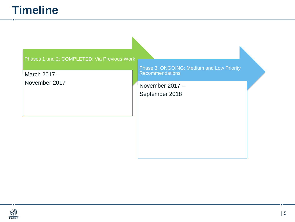#### **Timeline**

| Phases 1 and 2: COMPLETED: Via Previous Work |  |
|----------------------------------------------|--|
|----------------------------------------------|--|

March 2017 – November 2017 Phase 3: ONGOING: Medium and Low Priority Recommendations

November 2017 – September 2018